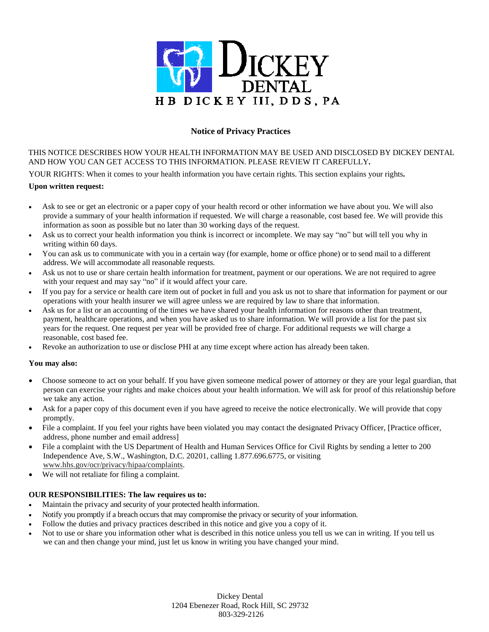

# **Notice of Privacy Practices**

THIS NOTICE DESCRIBES HOW YOUR HEALTH INFORMATION MAY BE USED AND DISCLOSED BY DICKEY DENTAL AND HOW YOU CAN GET ACCESS TO THIS INFORMATION. PLEASE REVIEW IT CAREFULLY**.**

YOUR RIGHTS: When it comes to your health information you have certain rights. This section explains your rights**.** 

### **Upon written request:**

- Ask to see or get an electronic or a paper copy of your health record or other information we have about you. We will also provide a summary of your health information if requested. We will charge a reasonable, cost based fee. We will provide this information as soon as possible but no later than 30 working days of the request.
- Ask us to correct your health information you think is incorrect or incomplete. We may say "no" but will tell you why in writing within 60 days.
- You can ask us to communicate with you in a certain way (for example, home or office phone) or to send mail to a different address. We will accommodate all reasonable requests.
- Ask us not to use or share certain health information for treatment, payment or our operations. We are not required to agree with your request and may say "no" if it would affect your care.
- If you pay for a service or health care item out of pocket in full and you ask us not to share that information for payment or our operations with your health insurer we will agree unless we are required by law to share that information.
- Ask us for a list or an accounting of the times we have shared your health information for reasons other than treatment, payment, healthcare operations, and when you have asked us to share information. We will provide a list for the past six years for the request. One request per year will be provided free of charge. For additional requests we will charge a reasonable, cost based fee.
- Revoke an authorization to use or disclose PHI at any time except where action has already been taken.

### **You may also:**

- Choose someone to act on your behalf. If you have given someone medical power of attorney or they are your legal guardian, that person can exercise your rights and make choices about your health information. We will ask for proof of this relationship before we take any action.
- Ask for a paper copy of this document even if you have agreed to receive the notice electronically. We will provide that copy promptly.
- File a complaint. If you feel your rights have been violated you may contact the designated Privacy Officer, [Practice officer, address, phone number and email address]
- File a complaint with the US Department of Health and Human Services Office for Civil Rights by sending a letter to 200 Independence Ave, S.W., Washington, D.C. 20201, calling 1.877.696.6775, or visiting [www.hhs.gov/ocr/privacy/hipaa/complaints.](http://www.hhs.gov/ocr/privacy/hipaa/complaints)
- We will not retaliate for filing a complaint.

### **OUR RESPONSIBILITIES: The law requires us to:**

- Maintain the privacy and security of your protected health information.
- Notify you promptly if a breach occurs that may compromise the privacy or security of your information.
- Follow the duties and privacy practices described in this notice and give you a copy of it.
- Not to use or share you information other what is described in this notice unless you tell us we can in writing. If you tell us we can and then change your mind, just let us know in writing you have changed your mind.

Dickey Dental 1204 Ebenezer Road, Rock Hill, SC 29732 803-329-2126